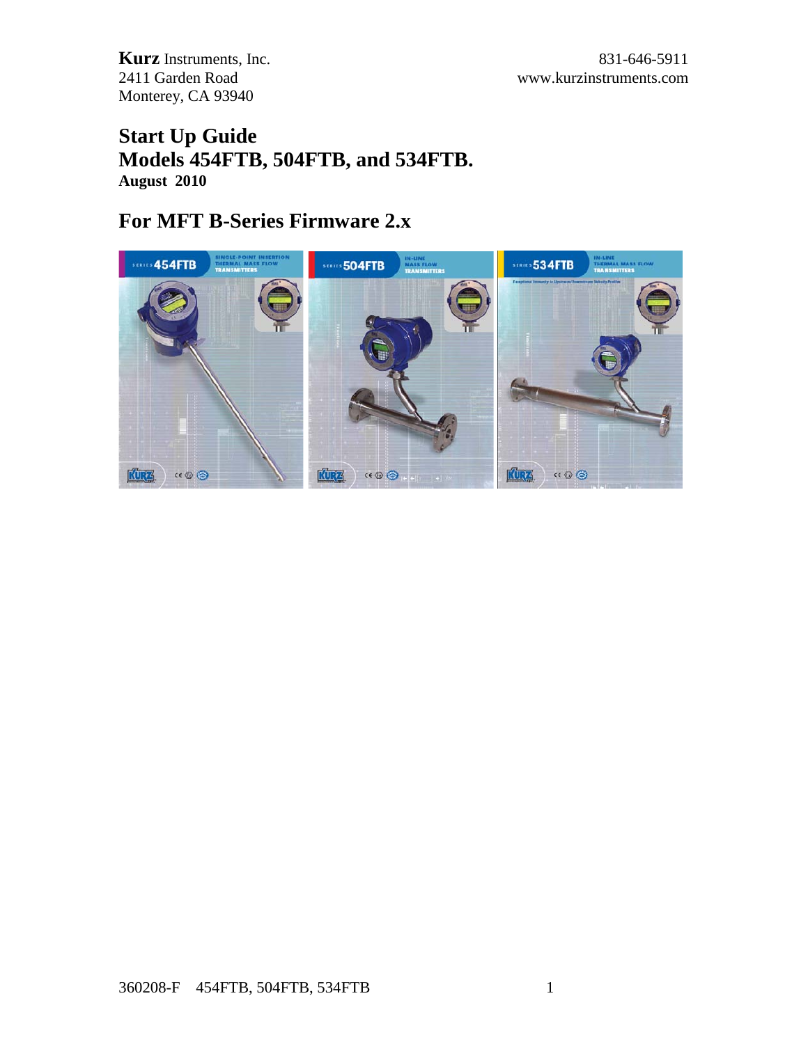# **Start Up Guide Models 454FTB, 504FTB, and 534FTB. August 2010**

# **For MFT B-Series Firmware 2.x**

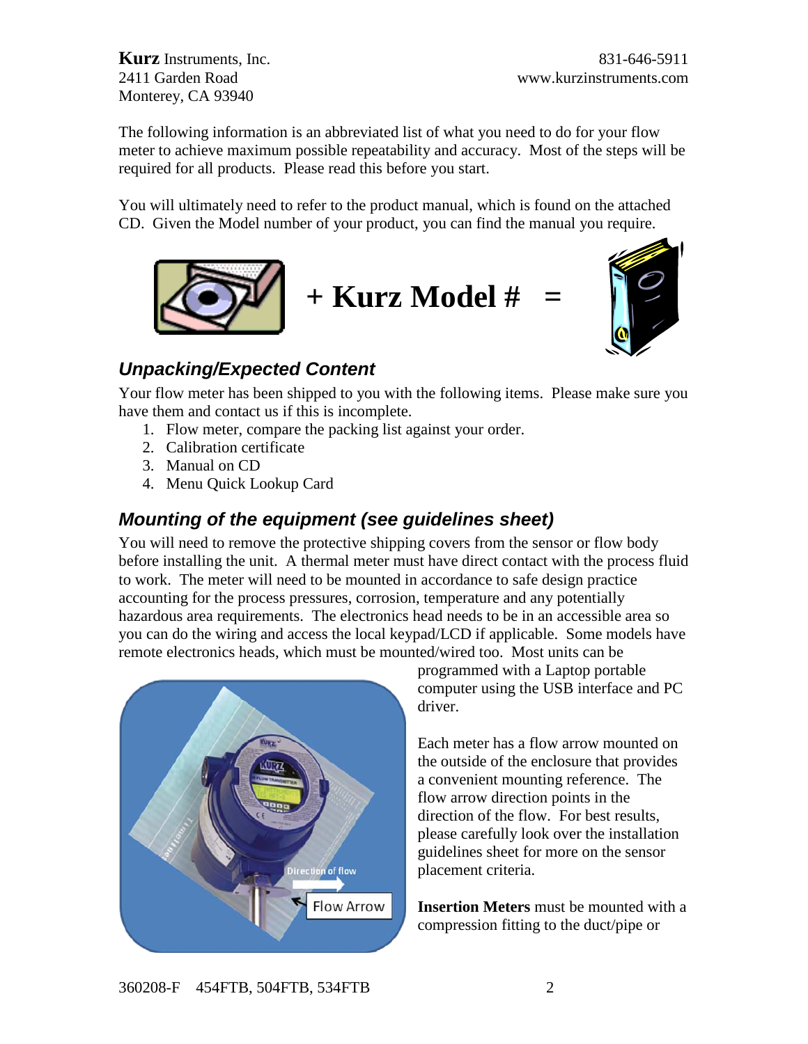The following information is an abbreviated list of what you need to do for your flow meter to achieve maximum possible repeatability and accuracy. Most of the steps will be required for all products. Please read this before you start.

You will ultimately need to refer to the product manual, which is found on the attached CD. Given the Model number of your product, you can find the manual you require.





# *Unpacking/Expected Content*

Your flow meter has been shipped to you with the following items. Please make sure you have them and contact us if this is incomplete.

- 1. Flow meter, compare the packing list against your order.
- 2. Calibration certificate
- 3. Manual on CD
- 4. Menu Quick Lookup Card

# *Mounting of the equipment (see guidelines sheet)*

You will need to remove the protective shipping covers from the sensor or flow body before installing the unit. A thermal meter must have direct contact with the process fluid to work. The meter will need to be mounted in accordance to safe design practice accounting for the process pressures, corrosion, temperature and any potentially hazardous area requirements. The electronics head needs to be in an accessible area so you can do the wiring and access the local keypad/LCD if applicable. Some models have remote electronics heads, which must be mounted/wired too. Most units can be



programmed with a Laptop portable computer using the USB interface and PC driver.

Each meter has a flow arrow mounted on the outside of the enclosure that provides a convenient mounting reference. The flow arrow direction points in the direction of the flow. For best results, please carefully look over the installation guidelines sheet for more on the sensor placement criteria.

**Insertion Meters** must be mounted with a compression fitting to the duct/pipe or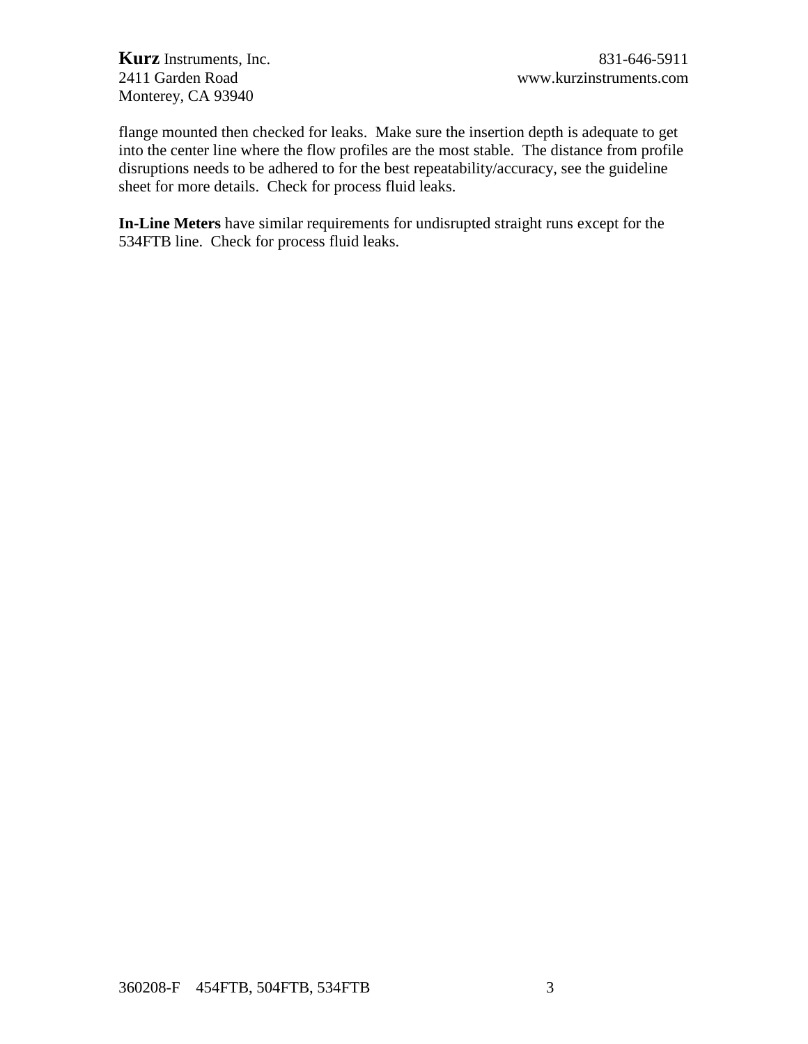flange mounted then checked for leaks. Make sure the insertion depth is adequate to get into the center line where the flow profiles are the most stable. The distance from profile disruptions needs to be adhered to for the best repeatability/accuracy, see the guideline sheet for more details. Check for process fluid leaks.

**In-Line Meters** have similar requirements for undisrupted straight runs except for the 534FTB line. Check for process fluid leaks.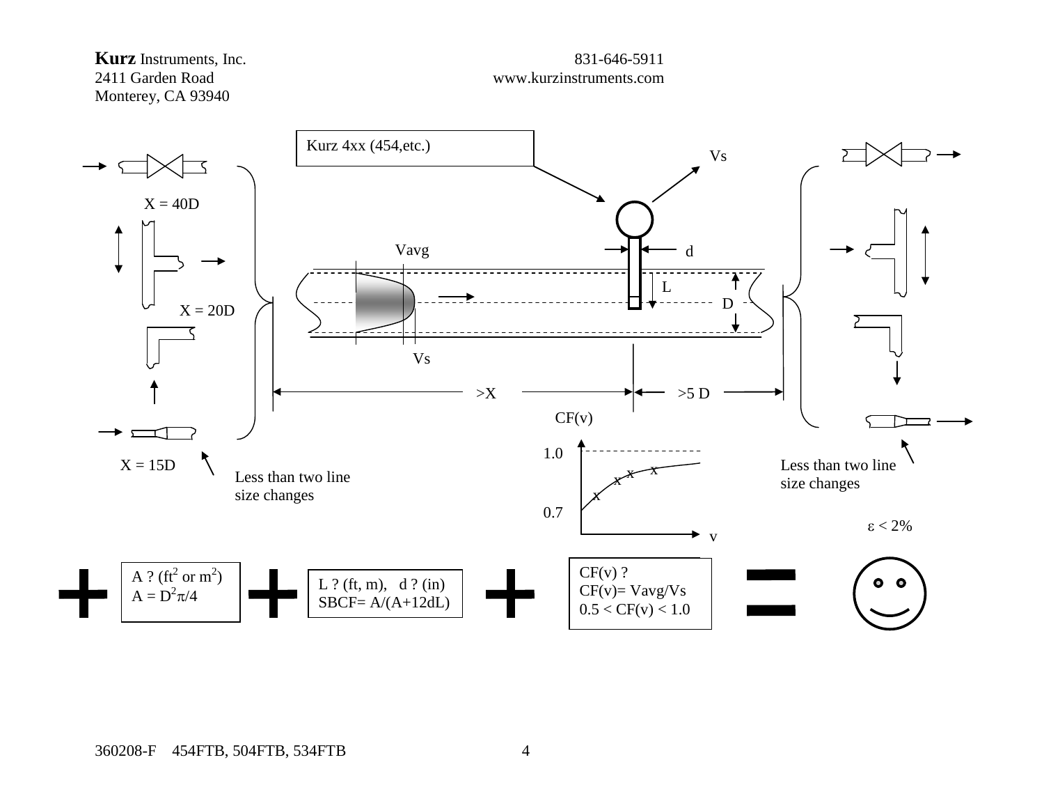# **Kurz** Instruments, Inc. 831-646-5911<br>2411 Garden Road www.kurzinstruments.com Monterey, CA 93940

# www.kurzinstruments.com



360208-F 454FTB, 504FTB, 534FTB 4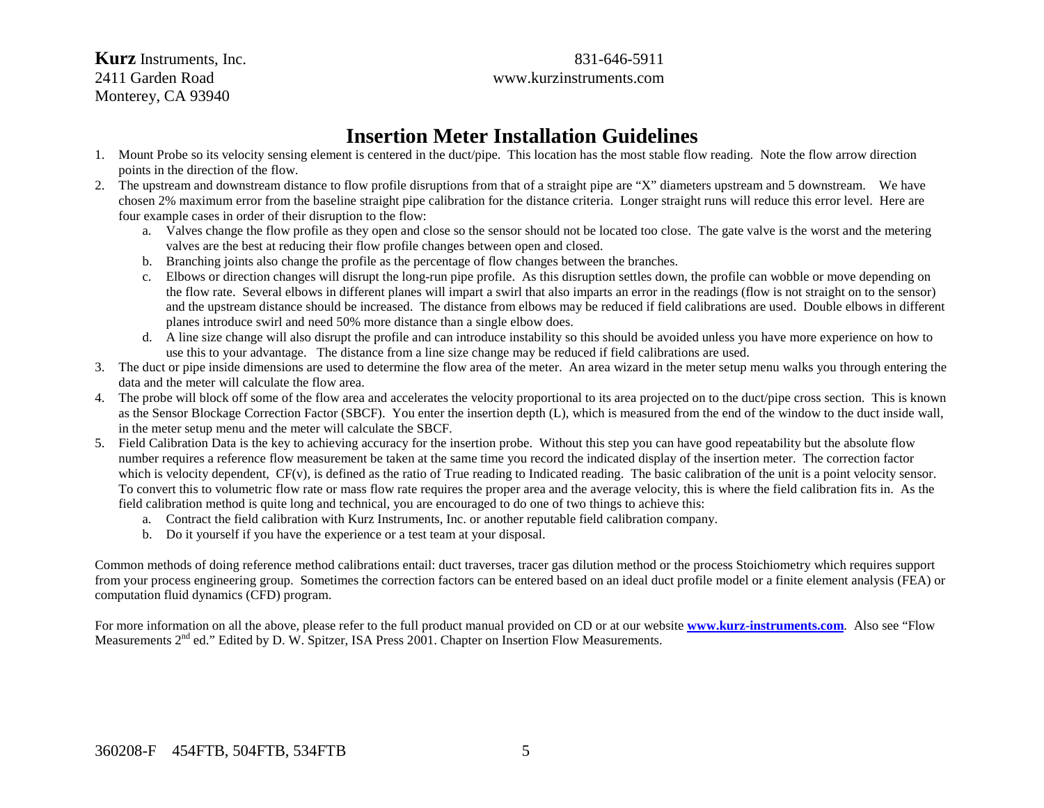**Kurz** Instruments, Inc. 831-646-5911 2411 Garden Road www.kurzinstruments.com Monterey, CA 93940

# **Insertion Meter Installation Guidelines**

- 1. Mount Probe so its velocity sensing element is centered in the duct/pipe. This location has the most stable flow reading. Note the flow arrow direction points in the direction of the flow.
- 2. The upstream and downstream distance to flow profile disruptions from that of a straight pipe are "X" diameters upstream and 5 downstream. We have chosen 2% maximum error from the baseline straight pipe calibration for the distance criteria. Longer straight runs will reduce this error level. Here are four example cases in order of their disruption to the flow:
	- a. Valves change the flow profile as they open and close so the sensor should not be located too close. The gate valve is the worst and the metering valves are the best at reducing their flow profile changes between open and closed.
	- b. Branching joints also change the profile as the percentage of flow changes between the branches.
	- c. Elbows or direction changes will disrupt the long-run pipe profile. As this disruption settles down, the profile can wobble or move depending on the flow rate. Several elbows in different planes will impart a swirl that also imparts an error in the readings (flow is not straight on to the sensor) and the upstream distance should be increased. The distance from elbows may be reduced if field calibrations are used. Double elbows in different planes introduce swirl and need 50% more distance than a single elbow does.
	- d. A line size change will also disrupt the profile and can introduce instability so this should be avoided unless you have more experience on how to use this to your advantage. The distance from a line size change may be reduced if field calibrations are used.
- 3. The duct or pipe inside dimensions are used to determine the flow area of the meter. An area wizard in the meter setup menu walks you through entering the data and the meter will calculate the flow area.
- 4. The probe will block off some of the flow area and accelerates the velocity proportional to its area projected on to the duct/pipe cross section. This is known as the Sensor Blockage Correction Factor (SBCF). You enter the insertion depth (L), which is measured from the end of the window to the duct inside wall, in the meter setup menu and the meter will calculate the SBCF.
- 5. Field Calibration Data is the key to achieving accuracy for the insertion probe. Without this step you can have good repeatability but the absolute flow number requires a reference flow measurement be taken at the same time you record the indicated display of the insertion meter. The correction factor which is velocity dependent, CF(v), is defined as the ratio of True reading to Indicated reading. The basic calibration of the unit is a point velocity sensor. To convert this to volumetric flow rate or mass flow rate requires the proper area and the average velocity, this is where the field calibration fits in. As the field calibration method is quite long and technical, you are encouraged to do one of two things to achieve this:
	- a. Contract the field calibration with Kurz Instruments, Inc. or another reputable field calibration company.
	- b. Do it yourself if you have the experience or a test team at your disposal.

Common methods of doing reference method calibrations entail: duct traverses, tracer gas dilution method or the process Stoichiometry which requires support from your process engineering group. Sometimes the correction factors can be entered based on an ideal duct profile model or a finite element analysis (FEA) or computation fluid dynamics (CFD) program.

For more information on all the above, please refer to the full product manual provided on CD or at our website **[www.kurz-instruments.com](http://www.kurz-instruments.com/)**. Also see "Flow Measurements 2<sup>nd</sup> ed." Edited by D. W. Spitzer, ISA Press 2001. Chapter on Insertion Flow Measurements.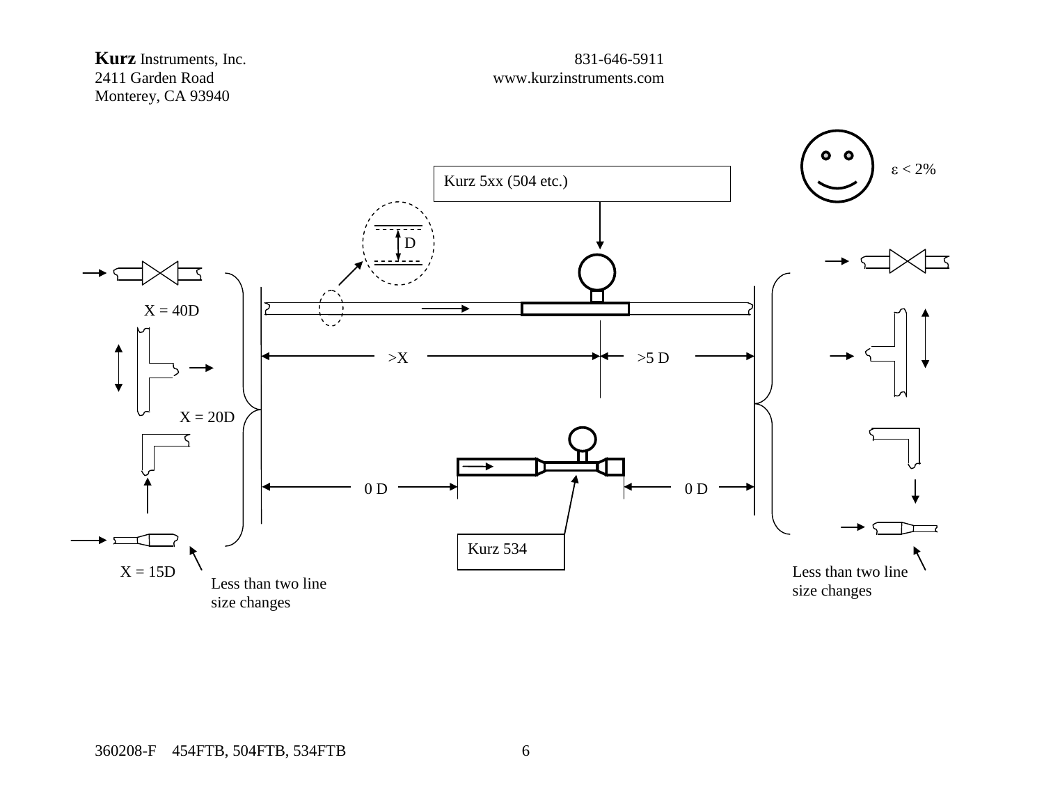

# www.kurzinstruments.com

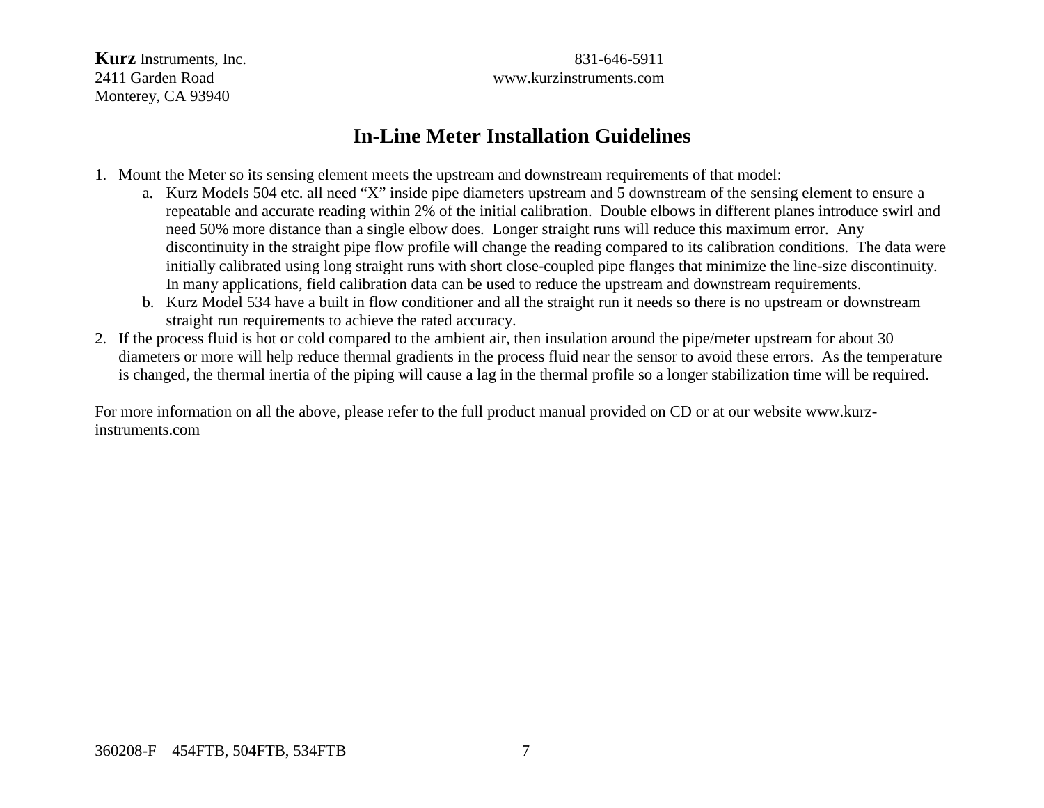**Kurz** Instruments, Inc. 831-646-5911 2411 Garden Road www.kurzinstruments.com

# **In-Line Meter Installation Guidelines**

- 1. Mount the Meter so its sensing element meets the upstream and downstream requirements of that model:
	- a. Kurz Models 504 etc. all need "X" inside pipe diameters upstream and 5 downstream of the sensing element to ensure a repeatable and accurate reading within 2% of the initial calibration. Double elbows in different planes introduce swirl and need 50% more distance than a single elbow does. Longer straight runs will reduce this maximum error. Any discontinuity in the straight pipe flow profile will change the reading compared to its calibration conditions. The data were initially calibrated using long straight runs with short close-coupled pipe flanges that minimize the line-size discontinuity. In many applications, field calibration data can be used to reduce the upstream and downstream requirements.
	- b. Kurz Model 534 have a built in flow conditioner and all the straight run it needs so there is no upstream or downstream straight run requirements to achieve the rated accuracy.
- 2. If the process fluid is hot or cold compared to the ambient air, then insulation around the pipe/meter upstream for about 30 diameters or more will help reduce thermal gradients in the process fluid near the sensor to avoid these errors. As the temperature is changed, the thermal inertia of the piping will cause a lag in the thermal profile so a longer stabilization time will be required.

For more information on all the above, please refer to the full product manual provided on CD or at our website www.kurzinstruments.com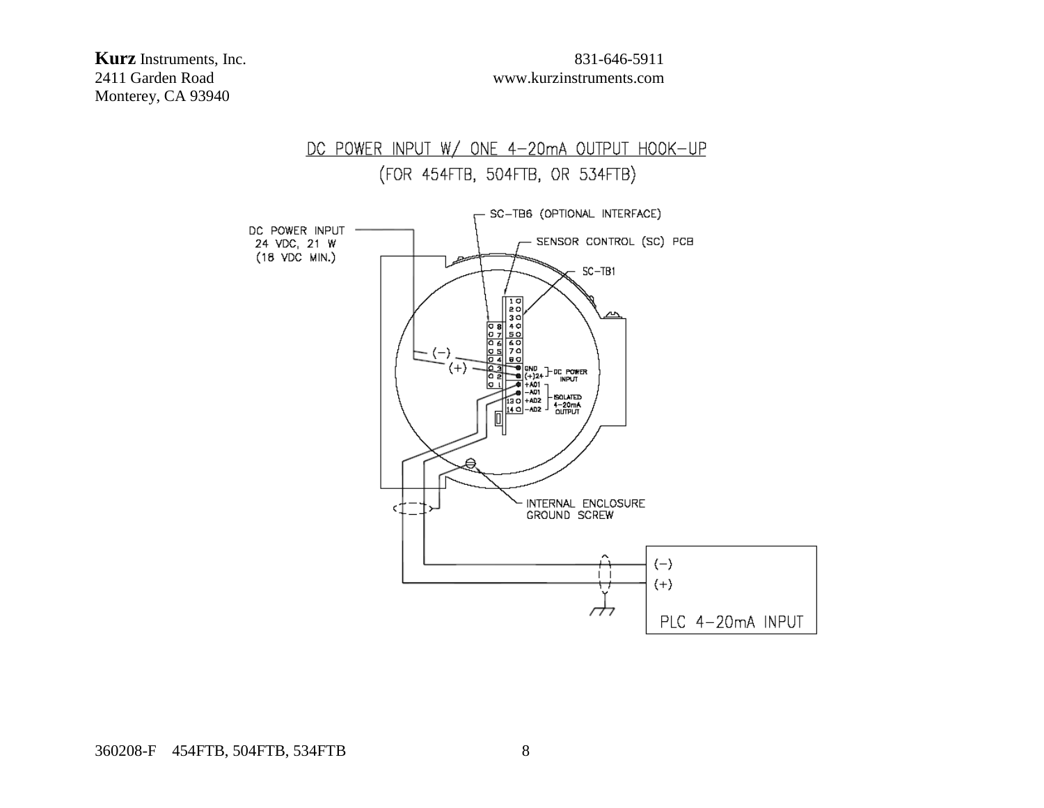**Kurz** Instruments, Inc. 831-646-5911<br>2411 Garden Road www.kurzinstruments.com Monterey, CA 93940

# www.kurzinstruments.com

# DC POWER INPUT W/ ONE 4-20mA OUTPUT HOOK-UP (FOR 454FTB, 504FTB, OR 534FTB)

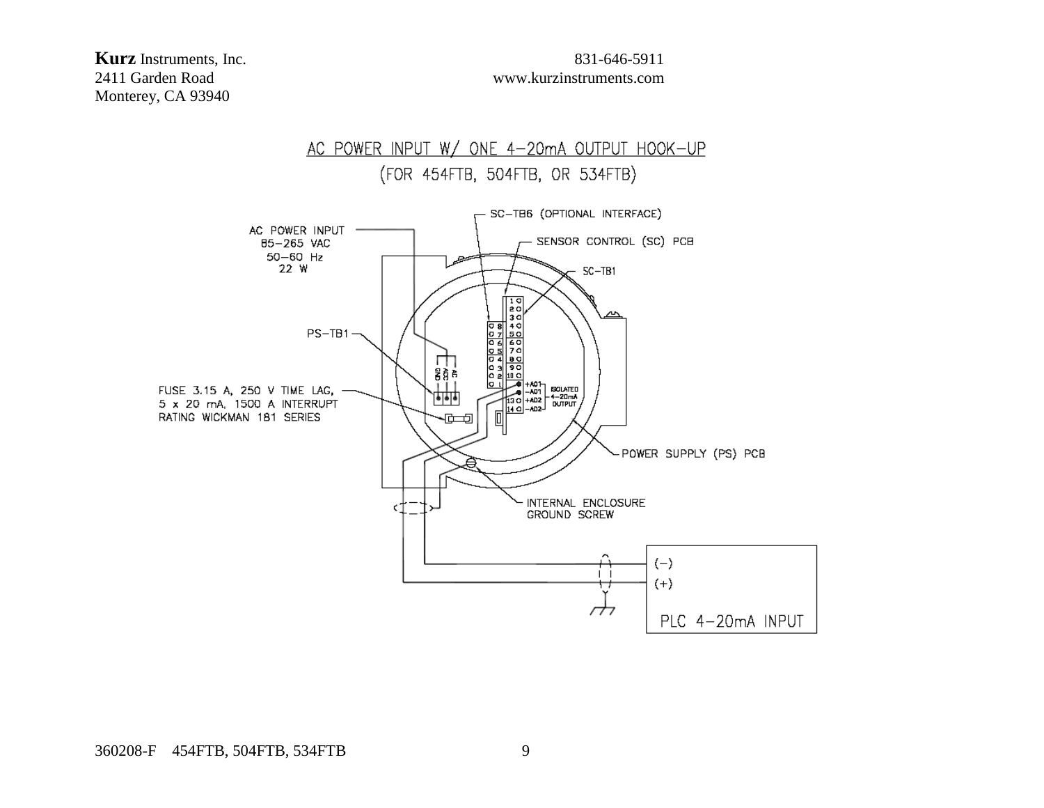**Kurz** Instruments, Inc. 831-646-5911<br>2411 Garden Road www.kurzinstruments.com Monterey, CA 93940

# www.kurzinstruments.com

#### AC POWER INPUT W/ ONE 4-20mA OUTPUT HOOK-UP (FOR 454FTB, 504FTB, OR 534FTB) SC-TB6 (OPTIONAL INTERFACE) AC POWER INPUT -- SENSOR CONTROL (SC) PCB 85-265 VAC  $50-60$  Hz 22 W  $SC-TB1$

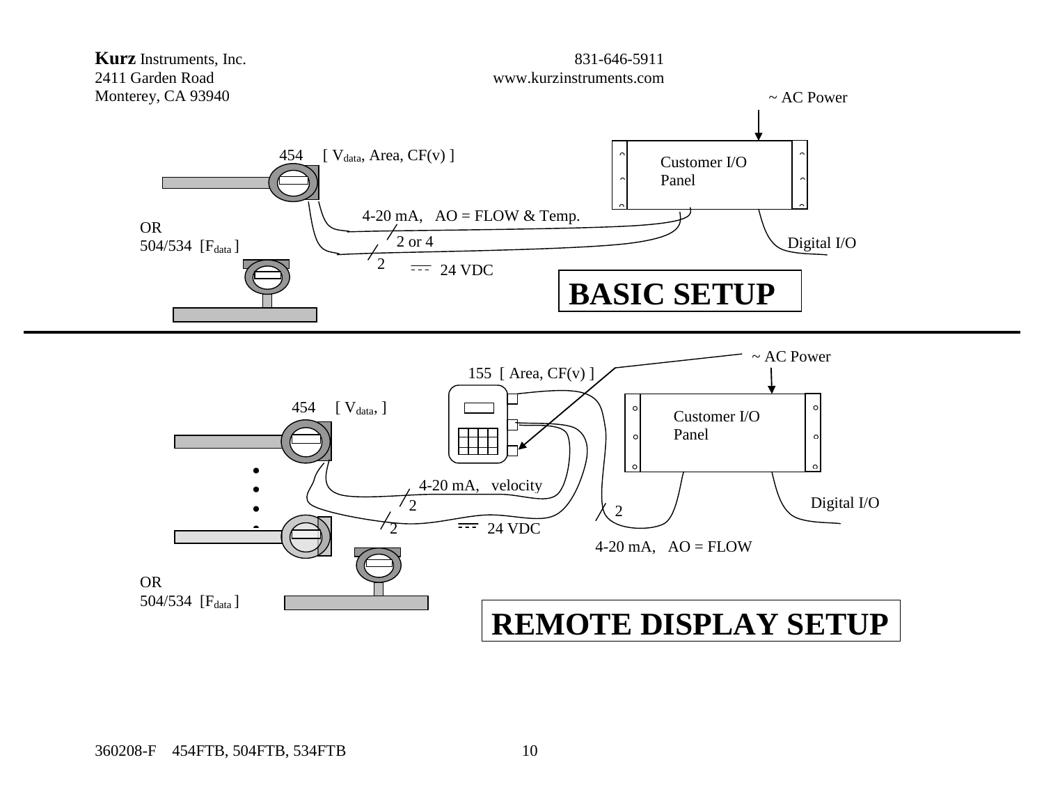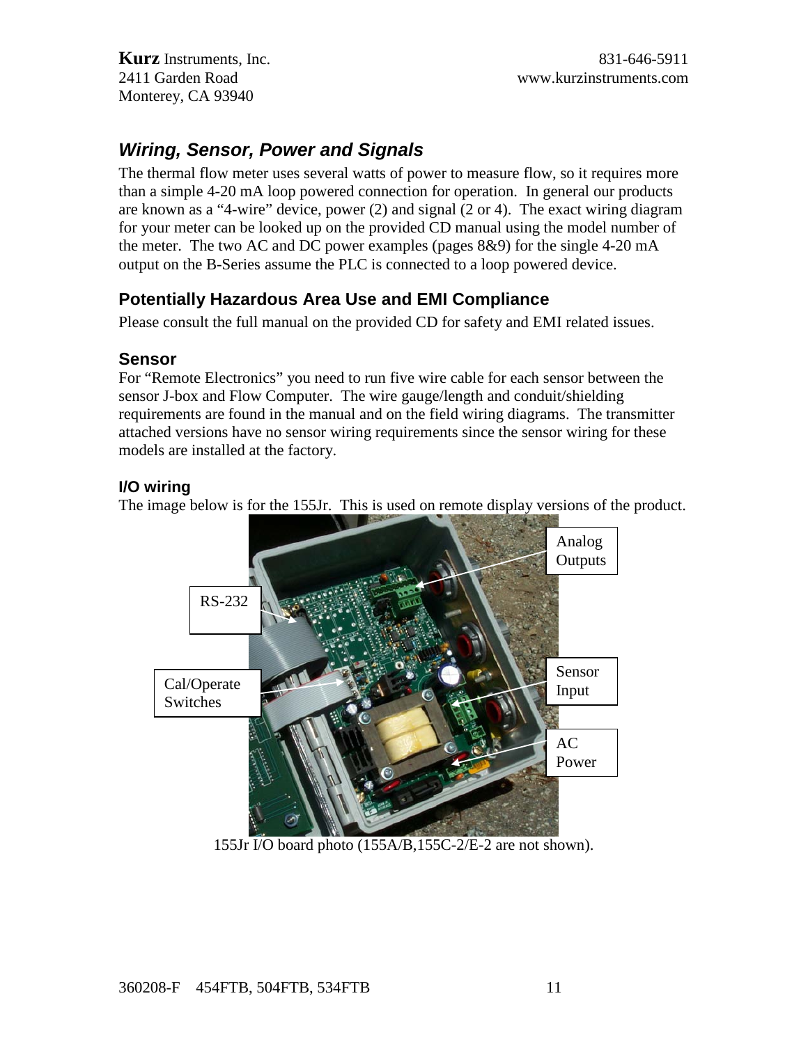## *Wiring, Sensor, Power and Signals*

The thermal flow meter uses several watts of power to measure flow, so it requires more than a simple 4-20 mA loop powered connection for operation. In general our products are known as a "4-wire" device, power (2) and signal (2 or 4). The exact wiring diagram for your meter can be looked up on the provided CD manual using the model number of the meter. The two AC and DC power examples (pages 8&9) for the single 4-20 mA output on the B-Series assume the PLC is connected to a loop powered device.

### **Potentially Hazardous Area Use and EMI Compliance**

Please consult the full manual on the provided CD for safety and EMI related issues.

#### **Sensor**

For "Remote Electronics" you need to run five wire cable for each sensor between the sensor J-box and Flow Computer. The wire gauge/length and conduit/shielding requirements are found in the manual and on the field wiring diagrams. The transmitter attached versions have no sensor wiring requirements since the sensor wiring for these models are installed at the factory.

#### **I/O wiring**

The image below is for the 155Jr. This is used on remote display versions of the product.



155Jr I/O board photo (155A/B,155C-2/E-2 are not shown).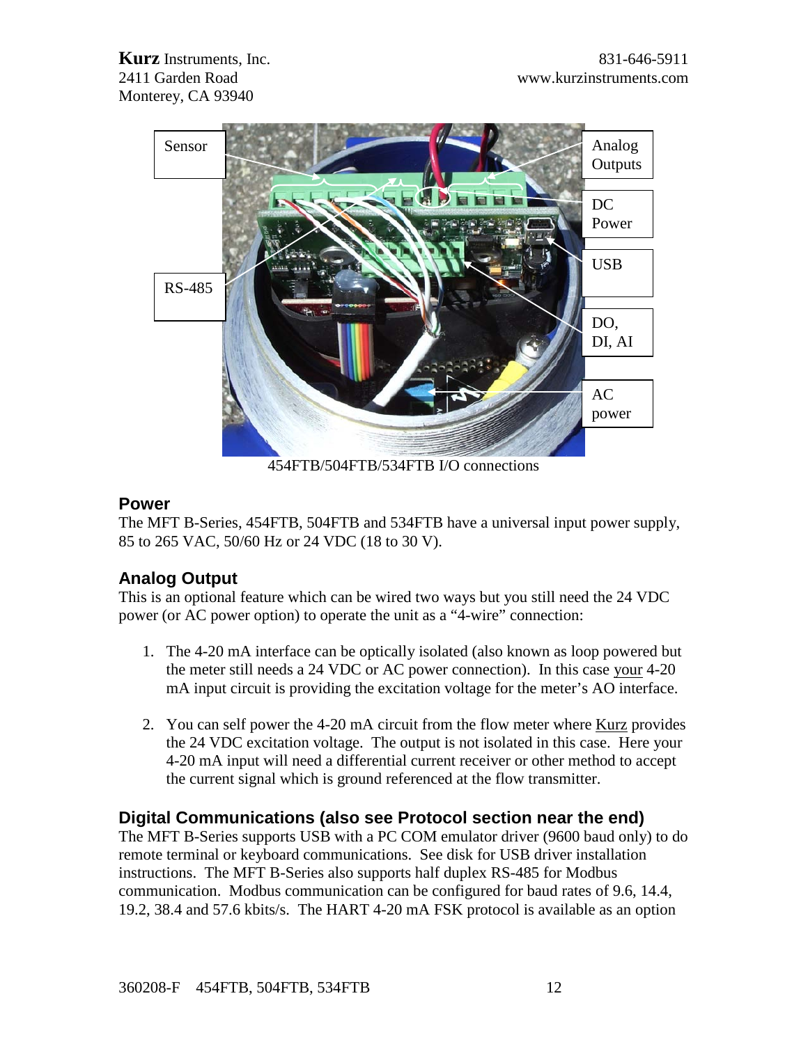

454FTB/504FTB/534FTB I/O connections

#### **Power**

The MFT B-Series, 454FTB, 504FTB and 534FTB have a universal input power supply, 85 to 265 VAC, 50/60 Hz or 24 VDC (18 to 30 V).

### **Analog Output**

This is an optional feature which can be wired two ways but you still need the 24 VDC power (or AC power option) to operate the unit as a "4-wire" connection:

- 1. The 4-20 mA interface can be optically isolated (also known as loop powered but the meter still needs a 24 VDC or AC power connection). In this case your 4-20 mA input circuit is providing the excitation voltage for the meter's AO interface.
- 2. You can self power the 4-20 mA circuit from the flow meter where Kurz provides the 24 VDC excitation voltage. The output is not isolated in this case. Here your 4-20 mA input will need a differential current receiver or other method to accept the current signal which is ground referenced at the flow transmitter.

### **Digital Communications (also see Protocol section near the end)**

The MFT B-Series supports USB with a PC COM emulator driver (9600 baud only) to do remote terminal or keyboard communications. See disk for USB driver installation instructions. The MFT B-Series also supports half duplex RS-485 for Modbus communication. Modbus communication can be configured for baud rates of 9.6, 14.4, 19.2, 38.4 and 57.6 kbits/s. The HART 4-20 mA FSK protocol is available as an option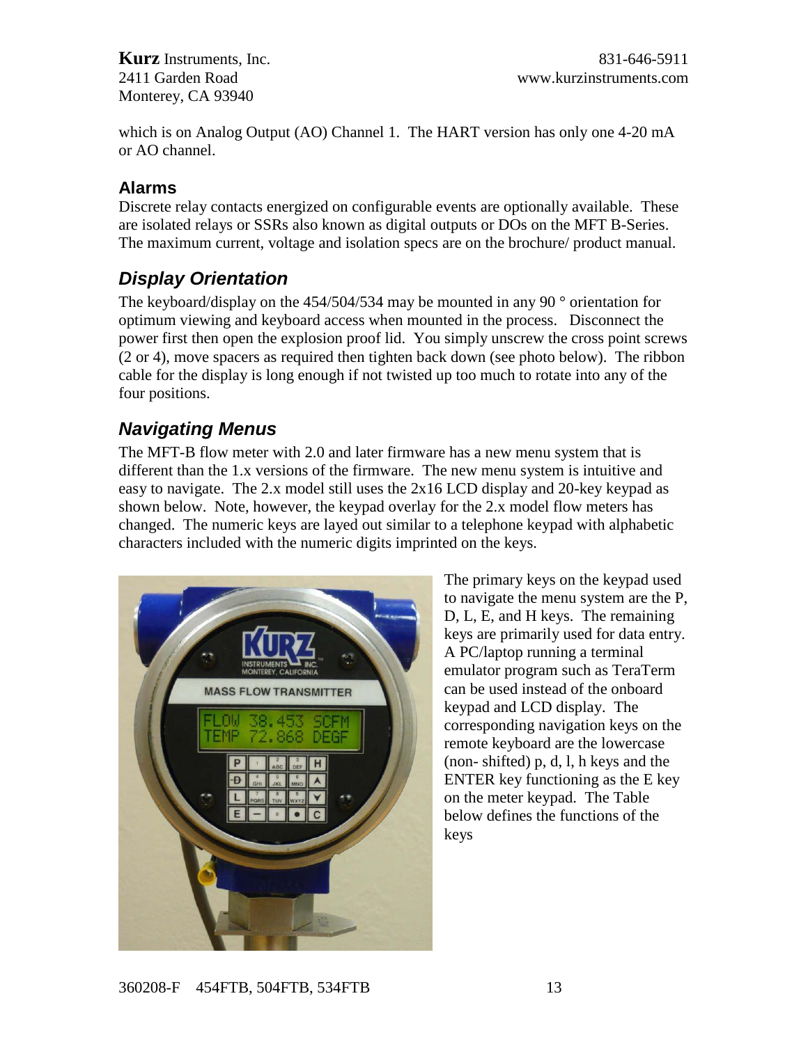which is on Analog Output (AO) Channel 1. The HART version has only one 4-20 mA or AO channel.

#### **Alarms**

Discrete relay contacts energized on configurable events are optionally available. These are isolated relays or SSRs also known as digital outputs or DOs on the MFT B-Series. The maximum current, voltage and isolation specs are on the brochure/ product manual.

# *Display Orientation*

The keyboard/display on the  $454/504/534$  may be mounted in any 90  $^{\circ}$  orientation for optimum viewing and keyboard access when mounted in the process. Disconnect the power first then open the explosion proof lid. You simply unscrew the cross point screws (2 or 4), move spacers as required then tighten back down (see photo below). The ribbon cable for the display is long enough if not twisted up too much to rotate into any of the four positions.

## *Navigating Menus*

The MFT-B flow meter with 2.0 and later firmware has a new menu system that is different than the 1.x versions of the firmware. The new menu system is intuitive and easy to navigate. The 2.x model still uses the 2x16 LCD display and 20-key keypad as shown below. Note, however, the keypad overlay for the 2.x model flow meters has changed. The numeric keys are layed out similar to a telephone keypad with alphabetic characters included with the numeric digits imprinted on the keys.



The primary keys on the keypad used to navigate the menu system are the P, D, L, E, and H keys. The remaining keys are primarily used for data entry. A PC/laptop running a terminal emulator program such as TeraTerm can be used instead of the onboard keypad and LCD display. The corresponding navigation keys on the remote keyboard are the lowercase (non- shifted) p, d, l, h keys and the ENTER key functioning as the E key on the meter keypad. The Table below defines the functions of the keys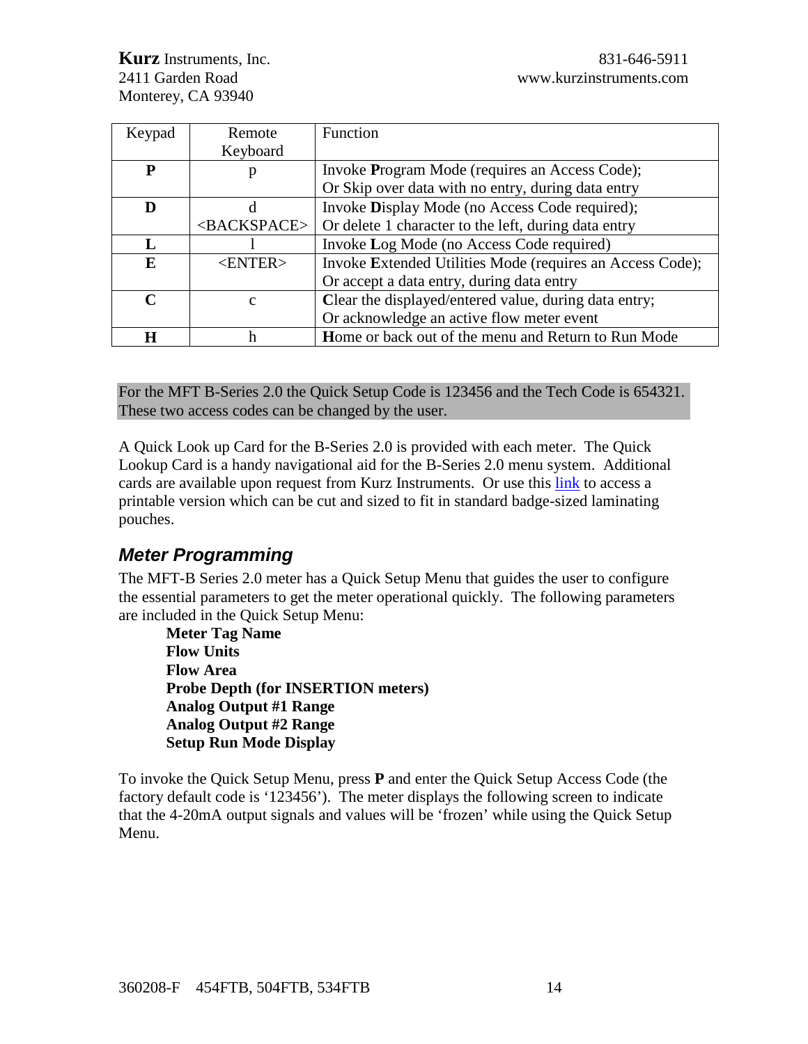| Keypad      | Remote                  | Function                                                  |
|-------------|-------------------------|-----------------------------------------------------------|
|             | Keyboard                |                                                           |
| Р           |                         | Invoke Program Mode (requires an Access Code);            |
|             |                         | Or Skip over data with no entry, during data entry        |
| D           | d                       | Invoke Display Mode (no Access Code required);            |
|             | <backspace></backspace> | Or delete 1 character to the left, during data entry      |
|             |                         | Invoke Log Mode (no Access Code required)                 |
| E           | $<$ ENTER $>$           | Invoke Extended Utilities Mode (requires an Access Code); |
|             |                         | Or accept a data entry, during data entry                 |
| $\mathbf C$ | $\mathbf{c}$            | Clear the displayed/entered value, during data entry;     |
|             |                         | Or acknowledge an active flow meter event                 |
| н           | h                       | Home or back out of the menu and Return to Run Mode       |

For the MFT B-Series 2.0 the Quick Setup Code is 123456 and the Tech Code is 654321. These two access codes can be changed by the user.

A Quick Look up Card for the B-Series 2.0 is provided with each meter. The Quick Lookup Card is a handy navigational aid for the B-Series 2.0 menu system. Additional cards are available upon request from Kurz Instruments. Or use this link to access a printable version which can be cut and sized to fit in standard badge-sized laminating pouches.

# *Meter Programming*

The MFT-B Series 2.0 meter has a Quick Setup Menu that guides the user to configure the essential parameters to get the meter operational quickly. The following parameters are included in the Quick Setup Menu:

**Meter Tag Name Flow Units Flow Area Probe Depth (for INSERTION meters) Analog Output #1 Range Analog Output #2 Range Setup Run Mode Display**

To invoke the Quick Setup Menu, press **P** and enter the Quick Setup Access Code (the factory default code is '123456'). The meter displays the following screen to indicate that the 4-20mA output signals and values will be 'frozen' while using the Quick Setup Menu.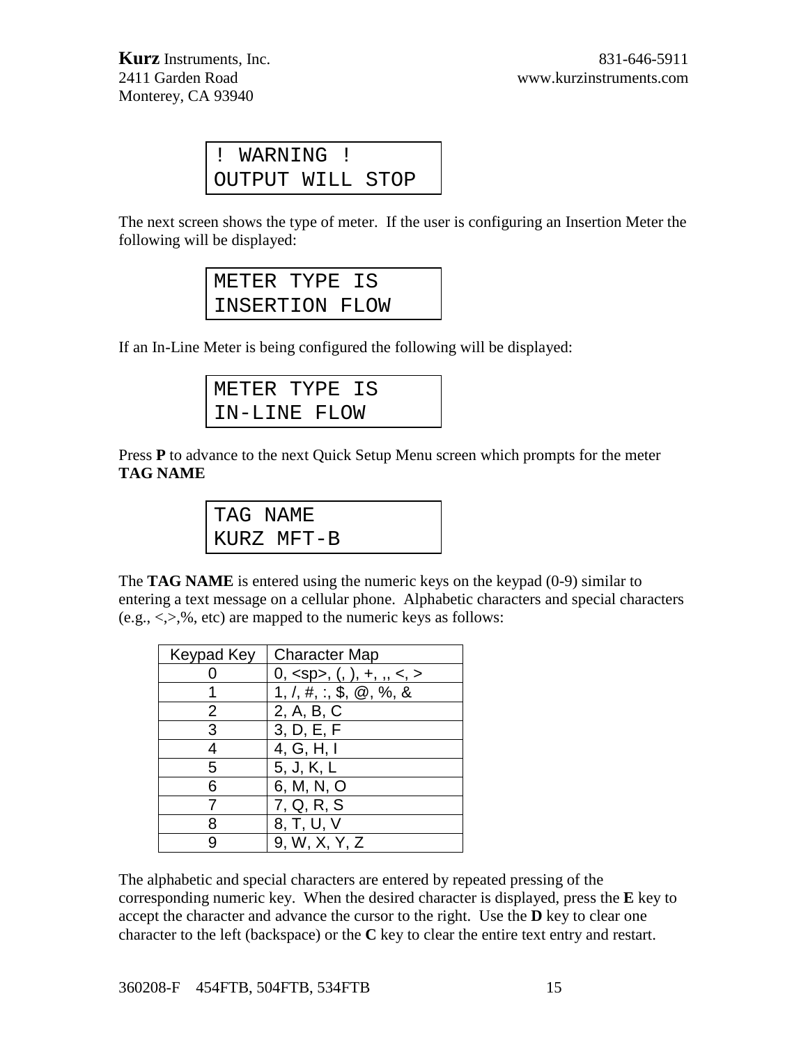| ! WARNING !      |  |  |
|------------------|--|--|
| OUTPUT WILL STOP |  |  |

The next screen shows the type of meter. If the user is configuring an Insertion Meter the following will be displayed:

| METER TYPE IS  |  |
|----------------|--|
| INSERTION FLOW |  |

If an In-Line Meter is being configured the following will be displayed:

| METER TYPE IS |  |  |
|---------------|--|--|
| IN-LINE FLOW  |  |  |

Press **P** to advance to the next Quick Setup Menu screen which prompts for the meter **TAG NAME**

| TAG NAME |            |  |
|----------|------------|--|
|          | KURZ MFT-B |  |

The **TAG NAME** is entered using the numeric keys on the keypad (0-9) similar to entering a text message on a cellular phone. Alphabetic characters and special characters  $(e.g., <, >, %$ , etc) are mapped to the numeric keys as follows:

| Keypad Key | <b>Character Map</b>                                      |
|------------|-----------------------------------------------------------|
|            | 0, <sp>, <math>(, \,), +, \, ,, \, &lt;, &gt;</math></sp> |
|            | $1, /, #, :$ , \$, $@, %$ , &                             |
| 2          | 2, A, B, C                                                |
| 3          | 3, D, E, F                                                |
|            | 4, G, H, I                                                |
| 5          | 5, J, K, L                                                |
| 6          | 6, M, N, O                                                |
|            | 7, Q, R, S                                                |
|            | 8, T, U, V                                                |
|            | 9, W, X, Y, Z                                             |

The alphabetic and special characters are entered by repeated pressing of the corresponding numeric key. When the desired character is displayed, press the **E** key to accept the character and advance the cursor to the right. Use the **D** key to clear one character to the left (backspace) or the **C** key to clear the entire text entry and restart.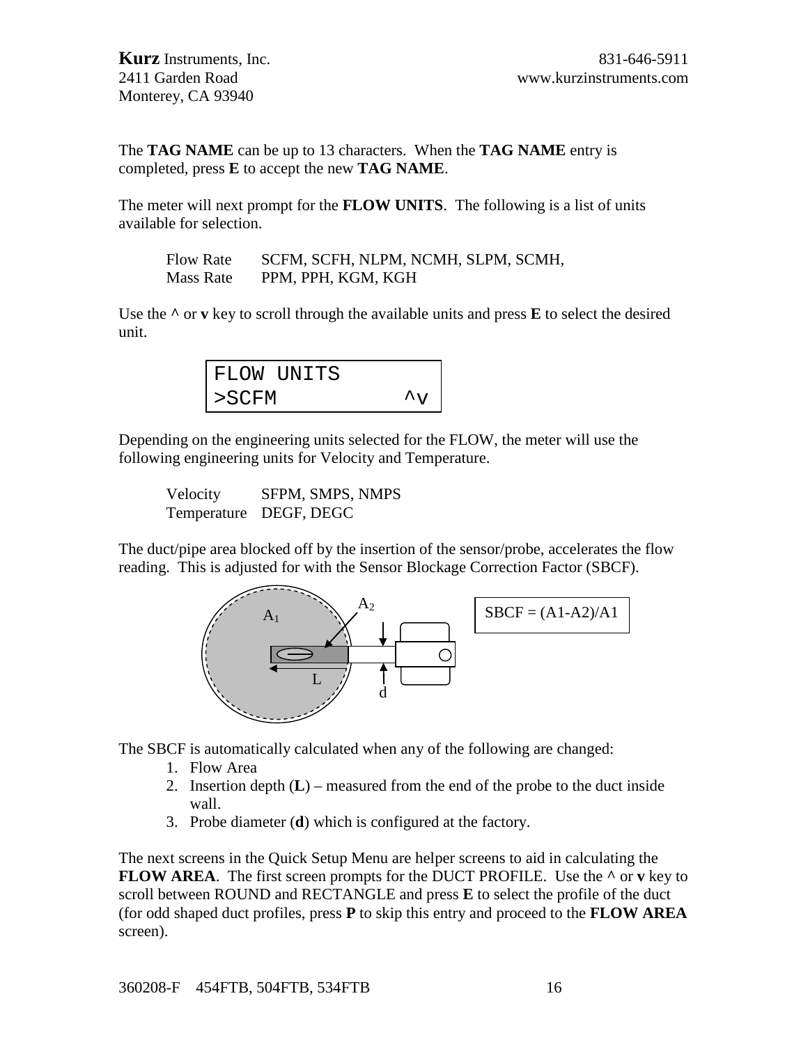The **TAG NAME** can be up to 13 characters. When the **TAG NAME** entry is completed, press **E** to accept the new **TAG NAME**.

The meter will next prompt for the **FLOW UNITS**. The following is a list of units available for selection.

Flow Rate SCFM, SCFH, NLPM, NCMH, SLPM, SCMH, Mass Rate PPM, PPH, KGM, KGH

Use the  $\wedge$  or **v** key to scroll through the available units and press **E** to select the desired unit.

|          | FLOW UNITS |                  |
|----------|------------|------------------|
| $>$ SCFM |            | $\lambda_{\tau}$ |

Depending on the engineering units selected for the FLOW, the meter will use the following engineering units for Velocity and Temperature.

Velocity SFPM, SMPS, NMPS Temperature DEGF, DEGC

The duct/pipe area blocked off by the insertion of the sensor/probe, accelerates the flow reading. This is adjusted for with the Sensor Blockage Correction Factor (SBCF).



The SBCF is automatically calculated when any of the following are changed:

- 1. Flow Area
- 2. Insertion depth (**L**) measured from the end of the probe to the duct inside wall.
- 3. Probe diameter (**d**) which is configured at the factory.

The next screens in the Quick Setup Menu are helper screens to aid in calculating the **FLOW AREA**. The first screen prompts for the DUCT PROFILE. Use the **^** or **v** key to scroll between ROUND and RECTANGLE and press **E** to select the profile of the duct (for odd shaped duct profiles, press **P** to skip this entry and proceed to the **FLOW AREA** screen).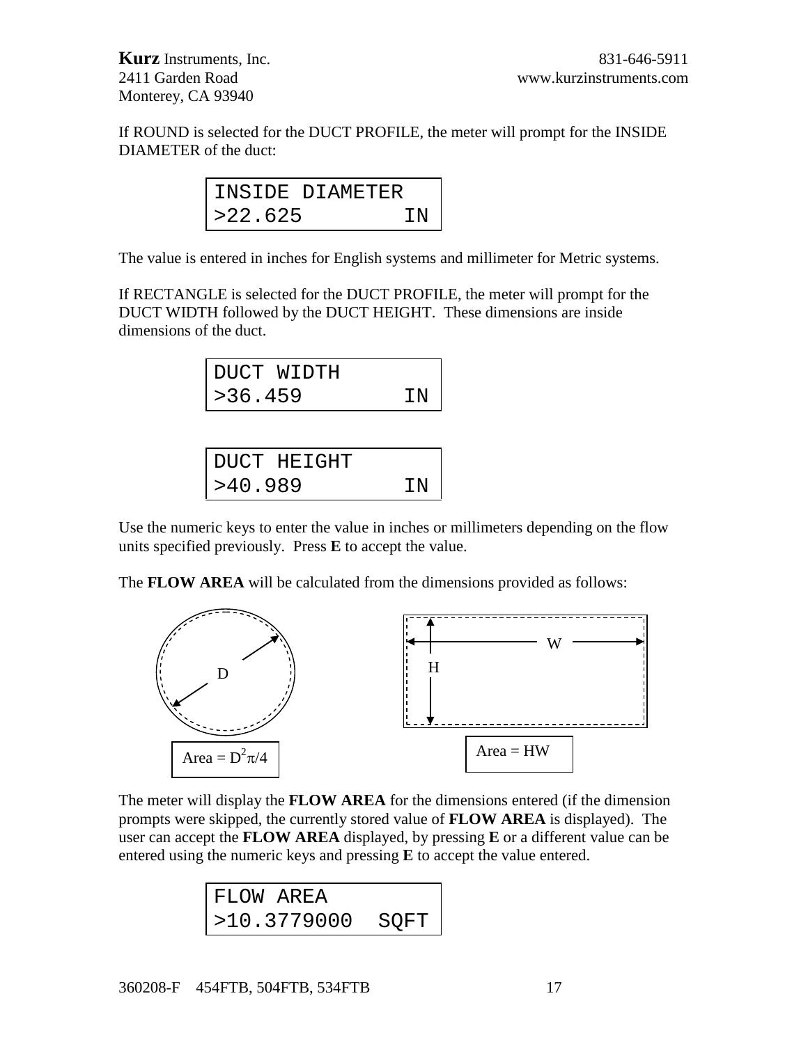If ROUND is selected for the DUCT PROFILE, the meter will prompt for the INSIDE DIAMETER of the duct:

|         | INSIDE DIAMETER |  |
|---------|-----------------|--|
| >22.625 | ΤN              |  |

The value is entered in inches for English systems and millimeter for Metric systems.

If RECTANGLE is selected for the DUCT PROFILE, the meter will prompt for the DUCT WIDTH followed by the DUCT HEIGHT. These dimensions are inside dimensions of the duct.

| DUCT WIDTH |    |
|------------|----|
| >36.459    | ΤN |

| DUCT HEIGHT |    |
|-------------|----|
| >40.989     | IN |

Use the numeric keys to enter the value in inches or millimeters depending on the flow units specified previously. Press **E** to accept the value.

The **FLOW AREA** will be calculated from the dimensions provided as follows:



The meter will display the **FLOW AREA** for the dimensions entered (if the dimension prompts were skipped, the currently stored value of **FLOW AREA** is displayed). The user can accept the **FLOW AREA** displayed, by pressing **E** or a different value can be entered using the numeric keys and pressing **E** to accept the value entered.

| FLOW AREA   |      |
|-------------|------|
| >10.3779000 | SOFT |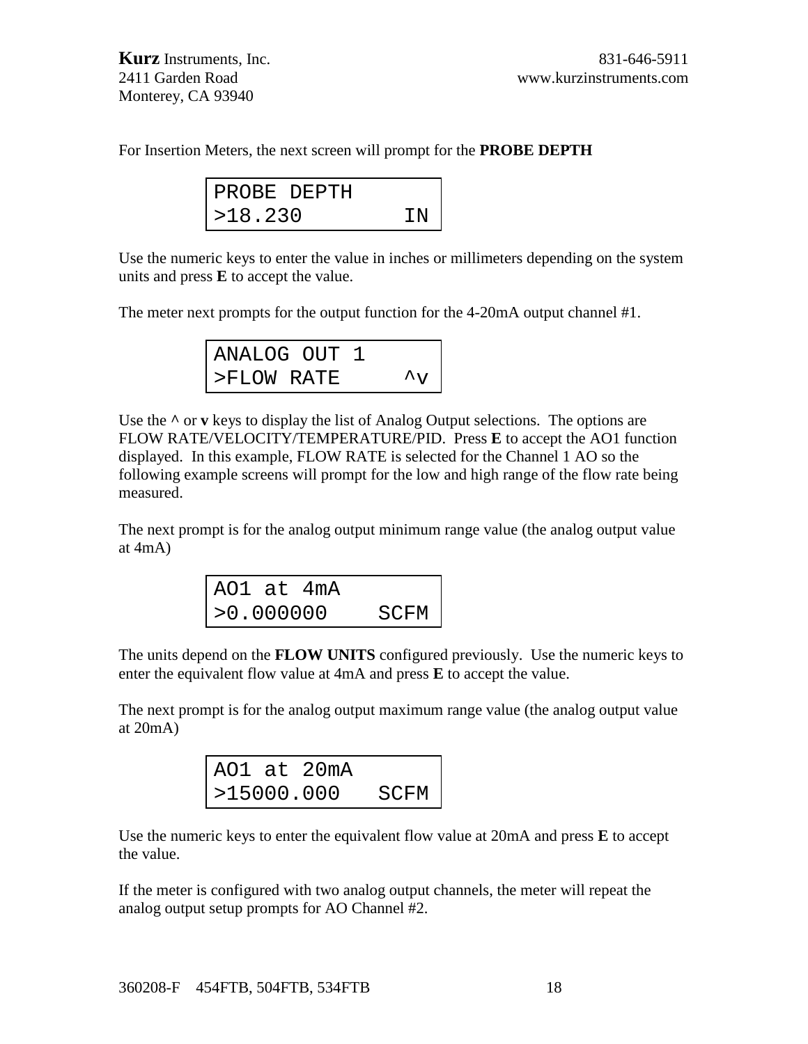For Insertion Meters, the next screen will prompt for the **PROBE DEPTH**

| PROBE DEPTH |    |
|-------------|----|
| >18.230     | TN |

Use the numeric keys to enter the value in inches or millimeters depending on the system units and press **E** to accept the value.

The meter next prompts for the output function for the 4-20mA output channel #1.

| ANALOG OUT 1 |  |              |
|--------------|--|--------------|
| >FLOW RATE   |  | $\mathsf{v}$ |

Use the  $\wedge$  or **v** keys to display the list of Analog Output selections. The options are FLOW RATE/VELOCITY/TEMPERATURE/PID. Press **E** to accept the AO1 function displayed. In this example, FLOW RATE is selected for the Channel 1 AO so the following example screens will prompt for the low and high range of the flow rate being measured.

The next prompt is for the analog output minimum range value (the analog output value at 4mA)

| AO1 at 4mA |      |
|------------|------|
| >0.000000  | SCFM |

The units depend on the **FLOW UNITS** configured previously. Use the numeric keys to enter the equivalent flow value at 4mA and press **E** to accept the value.

The next prompt is for the analog output maximum range value (the analog output value at 20mA)

|            | AO1 at 20mA |      |
|------------|-------------|------|
| >15000.000 |             | SCFM |

Use the numeric keys to enter the equivalent flow value at 20mA and press **E** to accept the value.

If the meter is configured with two analog output channels, the meter will repeat the analog output setup prompts for AO Channel #2.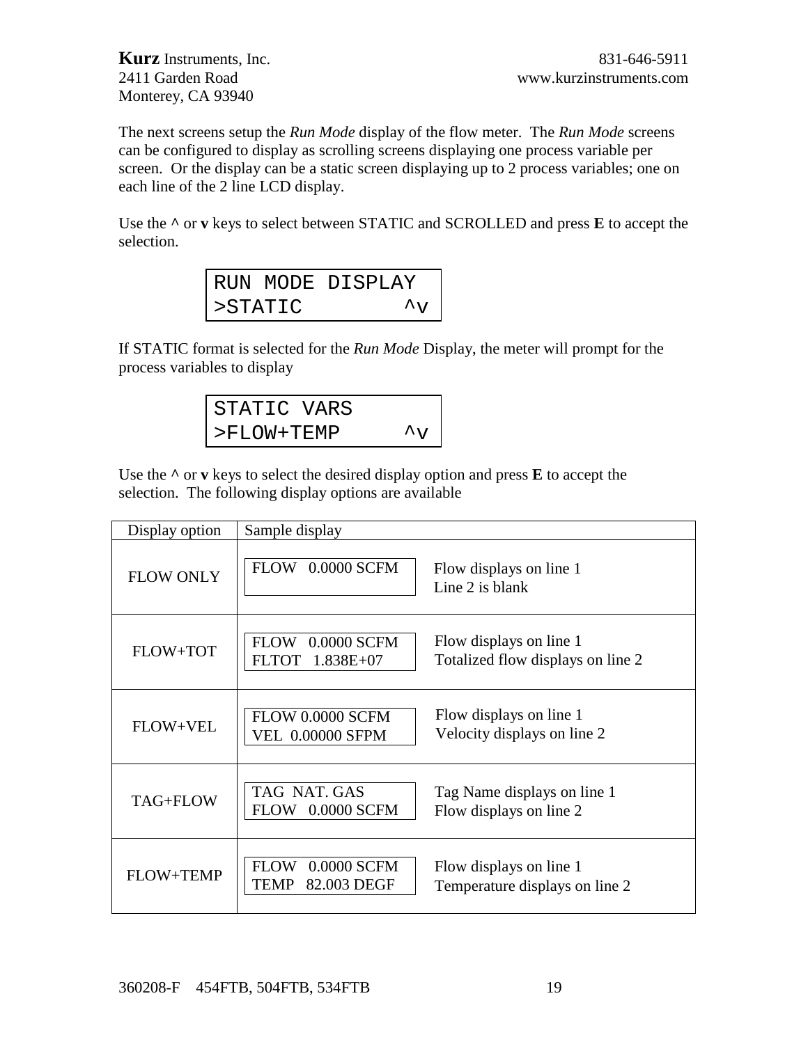The next screens setup the *Run Mode* display of the flow meter. The *Run Mode* screens can be configured to display as scrolling screens displaying one process variable per screen. Or the display can be a static screen displaying up to 2 process variables; one on each line of the 2 line LCD display.

Use the **^** or **v** keys to select between STATIC and SCROLLED and press **E** to accept the selection.

|         | RUN MODE DISPLAY  |
|---------|-------------------|
| >STATIC | $\lambda_{\rm V}$ |

If STATIC format is selected for the *Run Mode* Display, the meter will prompt for the process variables to display

| STATIC VARS   |                    |
|---------------|--------------------|
| $>$ FLOW+TEMP | $\lambda_{\rm VI}$ |

Use the **^** or **v** keys to select the desired display option and press **E** to accept the selection. The following display options are available

| Display option   | Sample display                                           |                                                              |
|------------------|----------------------------------------------------------|--------------------------------------------------------------|
| <b>FLOW ONLY</b> | FLOW 0.0000 SCFM                                         | Flow displays on line 1<br>Line 2 is blank                   |
| FLOW+TOT         | FLOW 0.0000 SCFM<br>FLTOT 1.838E+07                      | Flow displays on line 1<br>Totalized flow displays on line 2 |
| FLOW+VEL         | <b>FLOW 0.0000 SCFM</b><br><b>VEL 0.00000 SFPM</b>       | Flow displays on line 1<br>Velocity displays on line 2       |
| TAG+FLOW         | TAG NAT. GAS<br>0.0000 SCFM<br><b>FLOW</b>               | Tag Name displays on line 1<br>Flow displays on line 2       |
| <b>FLOW+TEMP</b> | <b>FLOW</b><br>0.0000 SCFM<br>82.003 DEGF<br><b>TEMP</b> | Flow displays on line 1<br>Temperature displays on line 2    |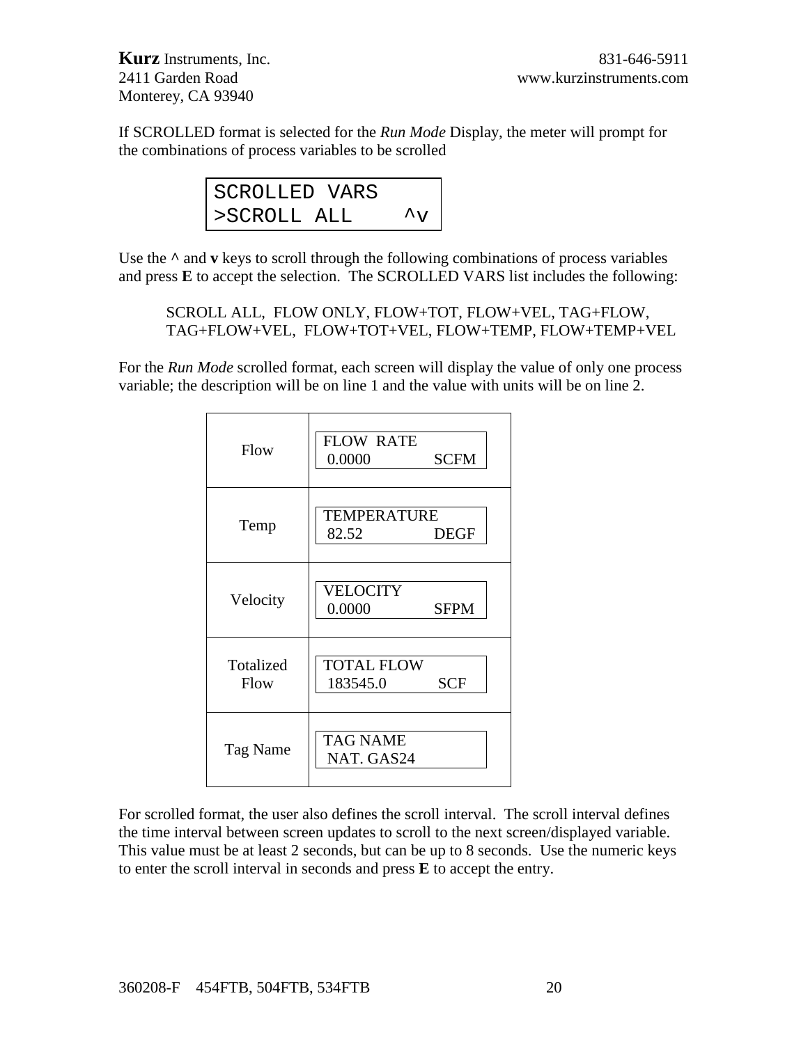If SCROLLED format is selected for the *Run Mode* Display, the meter will prompt for the combinations of process variables to be scrolled

| SCROLLED VARS |                  |
|---------------|------------------|
| >SCROLL ALL   | $\lambda_{\tau}$ |

Use the  $\wedge$  and **v** keys to scroll through the following combinations of process variables and press **E** to accept the selection. The SCROLLED VARS list includes the following:

SCROLL ALL, FLOW ONLY, FLOW+TOT, FLOW+VEL, TAG+FLOW, TAG+FLOW+VEL, FLOW+TOT+VEL, FLOW+TEMP, FLOW+TEMP+VEL

For the *Run Mode* scrolled format, each screen will display the value of only one process variable; the description will be on line 1 and the value with units will be on line 2.

| Flow              | <b>FLOW RATE</b><br>0.0000<br><b>SCFM</b>   |
|-------------------|---------------------------------------------|
| Temp              | <b>TEMPERATURE</b><br>82.52<br><b>DEGF</b>  |
| Velocity          | <b>VELOCITY</b><br>0.0000<br><b>SFPM</b>    |
| Totalized<br>Flow | <b>TOTAL FLOW</b><br><b>SCF</b><br>183545.0 |
| Tag Name          | <b>TAG NAME</b><br>NAT. GAS24               |

For scrolled format, the user also defines the scroll interval. The scroll interval defines the time interval between screen updates to scroll to the next screen/displayed variable. This value must be at least 2 seconds, but can be up to 8 seconds. Use the numeric keys to enter the scroll interval in seconds and press **E** to accept the entry.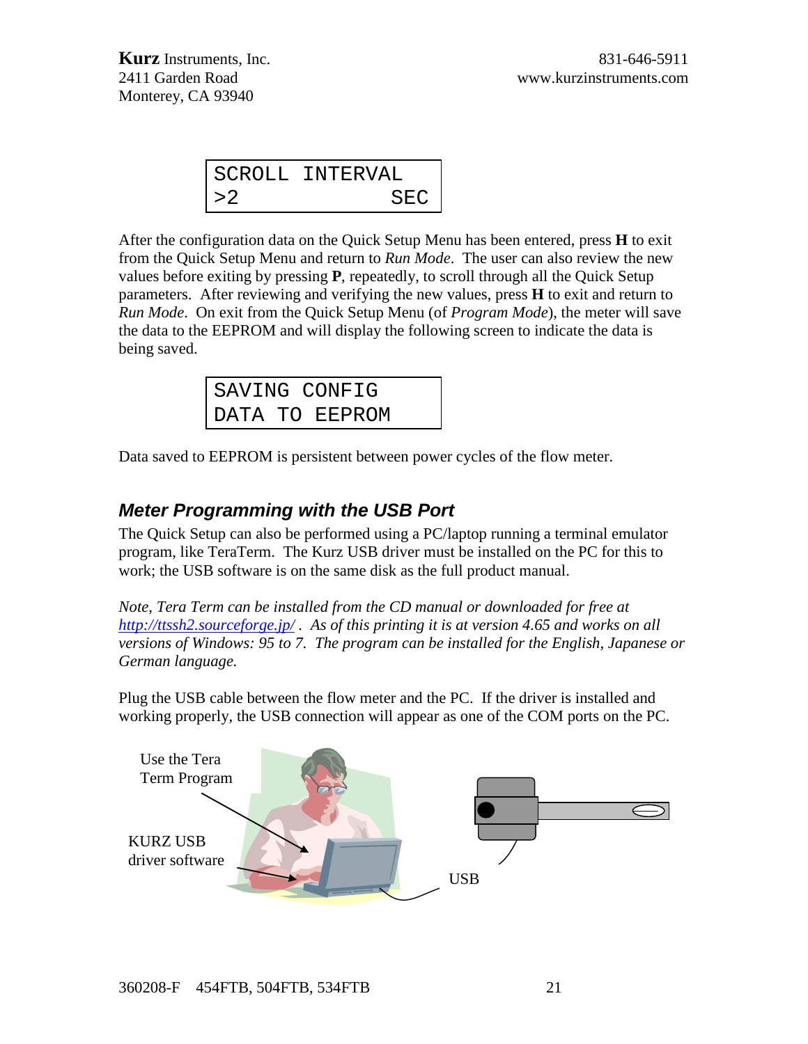|        | SCROLL INTERVAL |
|--------|-----------------|
| $>$ 2. | SEC             |

After the configuration data on the Quick Setup Menu has been entered, press **H** to exit from the Quick Setup Menu and return to *Run Mode*. The user can also review the new values before exiting by pressing **P**, repeatedly, to scroll through all the Quick Setup parameters. After reviewing and verifying the new values, press **H** to exit and return to *Run Mode*. On exit from the Quick Setup Menu (of *Program Mode*), the meter will save the data to the EEPROM and will display the following screen to indicate the data is being saved.

|  | SAVING CONFIG  |  |
|--|----------------|--|
|  | DATA TO EEPROM |  |

Data saved to EEPROM is persistent between power cycles of the flow meter.

#### *Meter Programming with the USB Port*

The Quick Setup can also be performed using a PC/laptop running a terminal emulator program, like TeraTerm. The Kurz USB driver must be installed on the PC for this to work; the USB software is on the same disk as the full product manual.

*Note, Tera Term can be installed from the CD manual or downloaded for free at <http://ttssh2.sourceforge.jp/> . As of this printing it is at version 4.65 and works on all versions of Windows: 95 to 7. The program can be installed for the English, Japanese or German language.*

Plug the USB cable between the flow meter and the PC. If the driver is installed and working properly, the USB connection will appear as one of the COM ports on the PC.

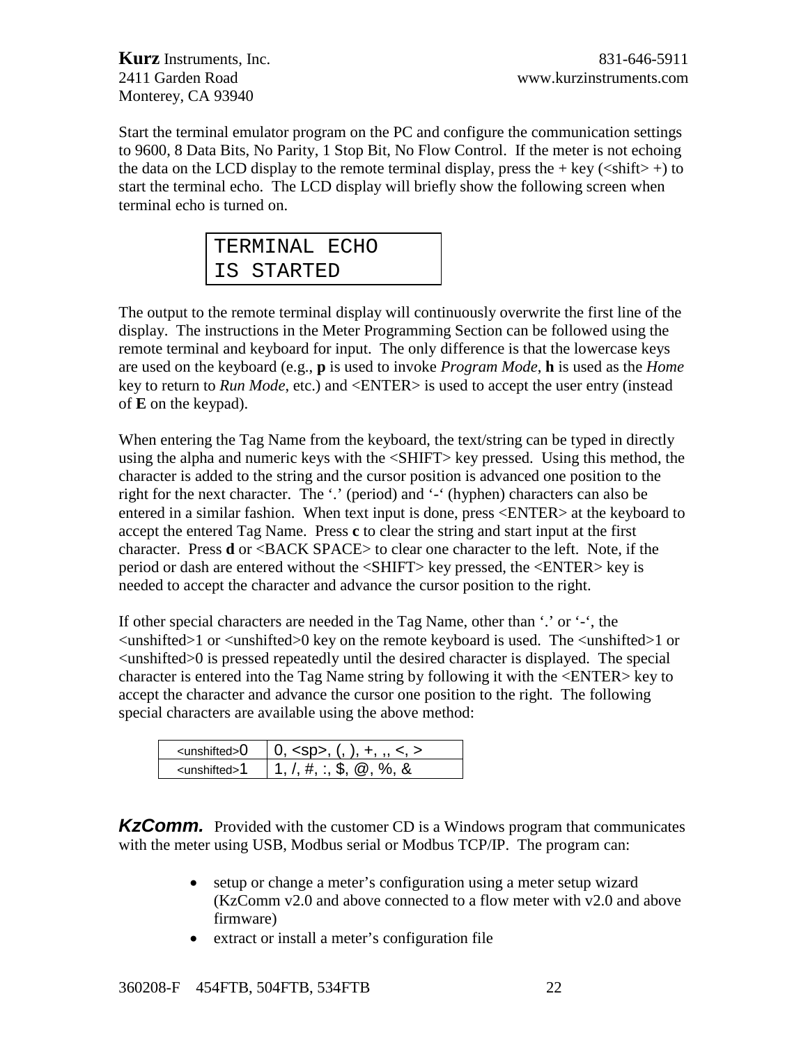Start the terminal emulator program on the PC and configure the communication settings to 9600, 8 Data Bits, No Parity, 1 Stop Bit, No Flow Control. If the meter is not echoing the data on the LCD display to the remote terminal display, press the  $+$  key ( $\lt$ shift $>$ +) to start the terminal echo. The LCD display will briefly show the following screen when terminal echo is turned on.

| TERMINAL ECHO |  |
|---------------|--|
| IS STARTED    |  |

The output to the remote terminal display will continuously overwrite the first line of the display. The instructions in the Meter Programming Section can be followed using the remote terminal and keyboard for input. The only difference is that the lowercase keys are used on the keyboard (e.g., **p** is used to invoke *Program Mode*, **h** is used as the *Home* key to return to *Run Mode*, etc.) and <ENTER> is used to accept the user entry (instead of **E** on the keypad).

When entering the Tag Name from the keyboard, the text/string can be typed in directly using the alpha and numeric keys with the <SHIFT> key pressed. Using this method, the character is added to the string and the cursor position is advanced one position to the right for the next character. The '.' (period) and '-' (hyphen) characters can also be entered in a similar fashion. When text input is done, press <ENTER> at the keyboard to accept the entered Tag Name. Press **c** to clear the string and start input at the first character. Press **d** or <BACK SPACE> to clear one character to the left. Note, if the period or dash are entered without the <SHIFT> key pressed, the <ENTER> key is needed to accept the character and advance the cursor position to the right.

If other special characters are needed in the Tag Name, other than '.' or '-', the  $\langle$ unshifted>1 or  $\langle$ unshifted>0 key on the remote keyboard is used. The  $\langle$ unshifted>1 or  $\leq$ unshifted $>0$  is pressed repeatedly until the desired character is displayed. The special character is entered into the Tag Name string by following it with the <ENTER> key to accept the character and advance the cursor one position to the right. The following special characters are available using the above method:

| ⊲unshifted>0 | $0.$ <sp>. (, ), +, </sp>                  |
|--------------|--------------------------------------------|
| ∠unshifted>1 | $1.7.4$ ; $\therefore$ \$, $\omega$ , %, & |

**KzComm.** Provided with the customer CD is a Windows program that communicates with the meter using USB, Modbus serial or Modbus TCP/IP. The program can:

- setup or change a meter's configuration using a meter setup wizard (KzComm v2.0 and above connected to a flow meter with v2.0 and above firmware)
- extract or install a meter's configuration file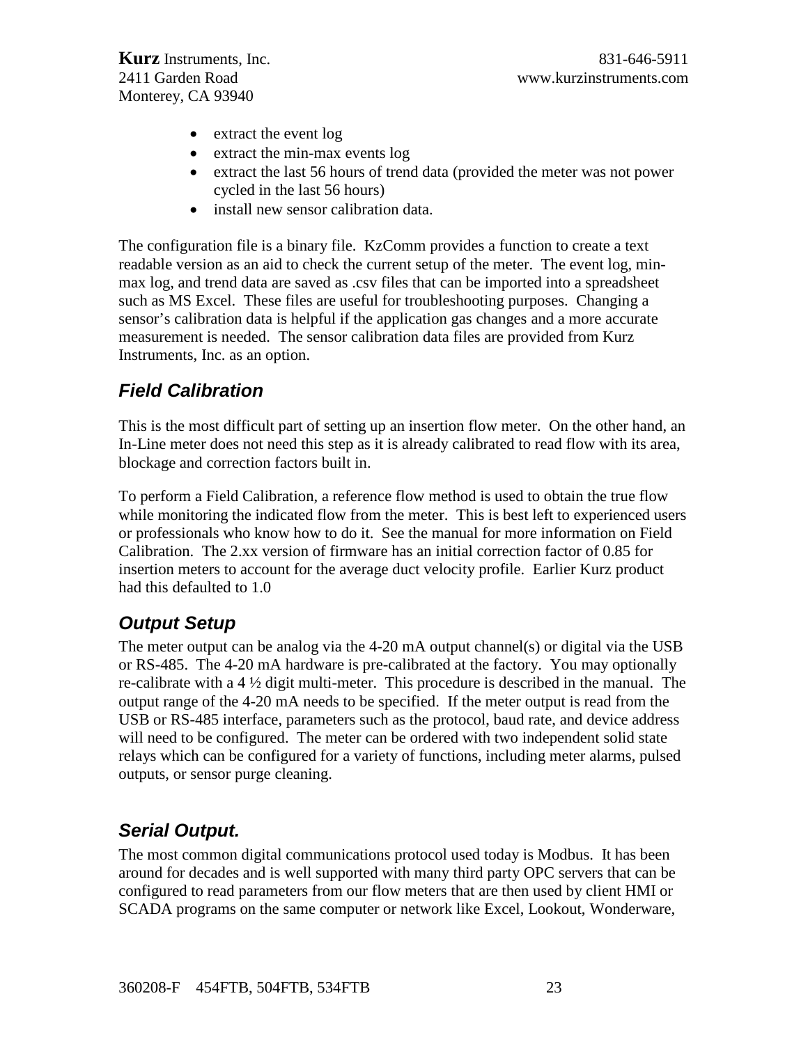- extract the event log
- extract the min-max events log
- extract the last 56 hours of trend data (provided the meter was not power cycled in the last 56 hours)
- install new sensor calibration data.

The configuration file is a binary file. KzComm provides a function to create a text readable version as an aid to check the current setup of the meter. The event log, minmax log, and trend data are saved as .csv files that can be imported into a spreadsheet such as MS Excel. These files are useful for troubleshooting purposes. Changing a sensor's calibration data is helpful if the application gas changes and a more accurate measurement is needed. The sensor calibration data files are provided from Kurz Instruments, Inc. as an option.

# *Field Calibration*

This is the most difficult part of setting up an insertion flow meter. On the other hand, an In-Line meter does not need this step as it is already calibrated to read flow with its area, blockage and correction factors built in.

To perform a Field Calibration, a reference flow method is used to obtain the true flow while monitoring the indicated flow from the meter. This is best left to experienced users or professionals who know how to do it. See the manual for more information on Field Calibration. The 2.xx version of firmware has an initial correction factor of 0.85 for insertion meters to account for the average duct velocity profile. Earlier Kurz product had this defaulted to 1.0

# *Output Setup*

The meter output can be analog via the 4-20 mA output channel(s) or digital via the USB or RS-485. The 4-20 mA hardware is pre-calibrated at the factory. You may optionally re-calibrate with a 4 ½ digit multi-meter. This procedure is described in the manual. The output range of the 4-20 mA needs to be specified. If the meter output is read from the USB or RS-485 interface, parameters such as the protocol, baud rate, and device address will need to be configured. The meter can be ordered with two independent solid state relays which can be configured for a variety of functions, including meter alarms, pulsed outputs, or sensor purge cleaning.

# *Serial Output.*

The most common digital communications protocol used today is Modbus. It has been around for decades and is well supported with many third party OPC servers that can be configured to read parameters from our flow meters that are then used by client HMI or SCADA programs on the same computer or network like Excel, Lookout, Wonderware,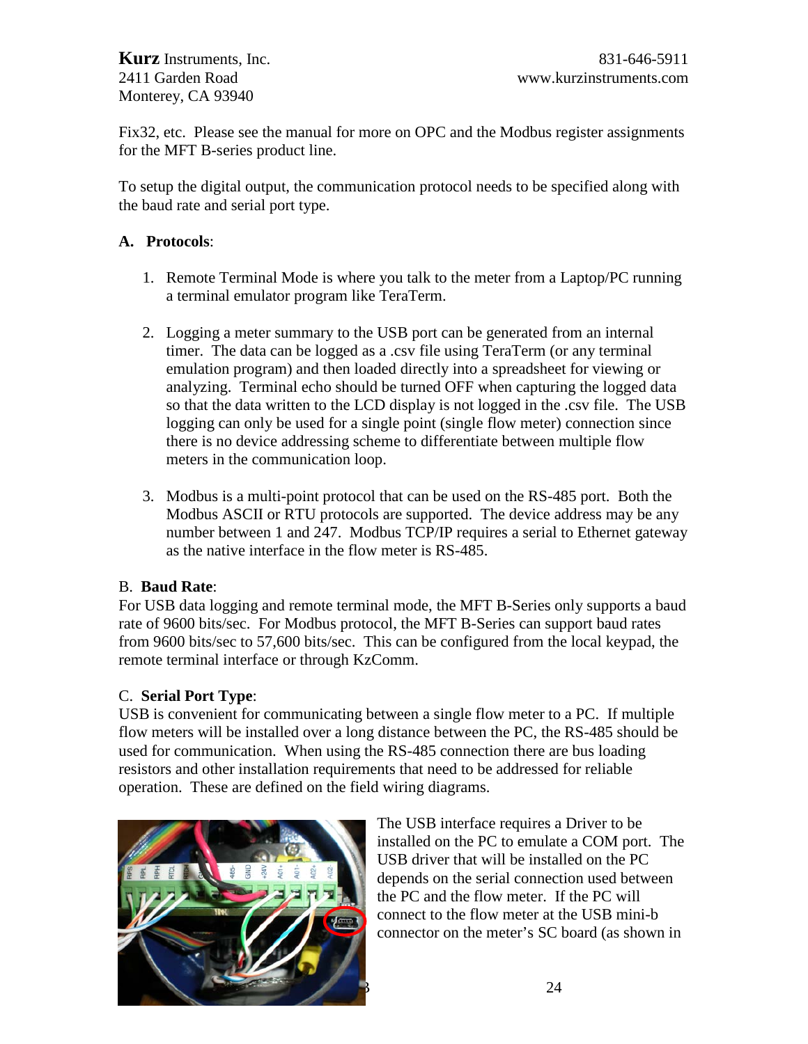Fix32, etc. Please see the manual for more on OPC and the Modbus register assignments for the MFT B-series product line.

To setup the digital output, the communication protocol needs to be specified along with the baud rate and serial port type.

#### **A. Protocols**:

- 1. Remote Terminal Mode is where you talk to the meter from a Laptop/PC running a terminal emulator program like TeraTerm.
- 2. Logging a meter summary to the USB port can be generated from an internal timer. The data can be logged as a .csv file using TeraTerm (or any terminal emulation program) and then loaded directly into a spreadsheet for viewing or analyzing. Terminal echo should be turned OFF when capturing the logged data so that the data written to the LCD display is not logged in the .csv file. The USB logging can only be used for a single point (single flow meter) connection since there is no device addressing scheme to differentiate between multiple flow meters in the communication loop.
- 3. Modbus is a multi-point protocol that can be used on the RS-485 port. Both the Modbus ASCII or RTU protocols are supported. The device address may be any number between 1 and 247. Modbus TCP/IP requires a serial to Ethernet gateway as the native interface in the flow meter is RS-485.

#### B. **Baud Rate**:

For USB data logging and remote terminal mode, the MFT B-Series only supports a baud rate of 9600 bits/sec. For Modbus protocol, the MFT B-Series can support baud rates from 9600 bits/sec to 57,600 bits/sec. This can be configured from the local keypad, the remote terminal interface or through KzComm.

#### C. **Serial Port Type**:

USB is convenient for communicating between a single flow meter to a PC. If multiple flow meters will be installed over a long distance between the PC, the RS-485 should be used for communication. When using the RS-485 connection there are bus loading resistors and other installation requirements that need to be addressed for reliable operation. These are defined on the field wiring diagrams.



The USB interface requires a Driver to be installed on the PC to emulate a COM port. The USB driver that will be installed on the PC depends on the serial connection used between the PC and the flow meter. If the PC will connect to the flow meter at the USB mini-b connector on the meter's SC board (as shown in